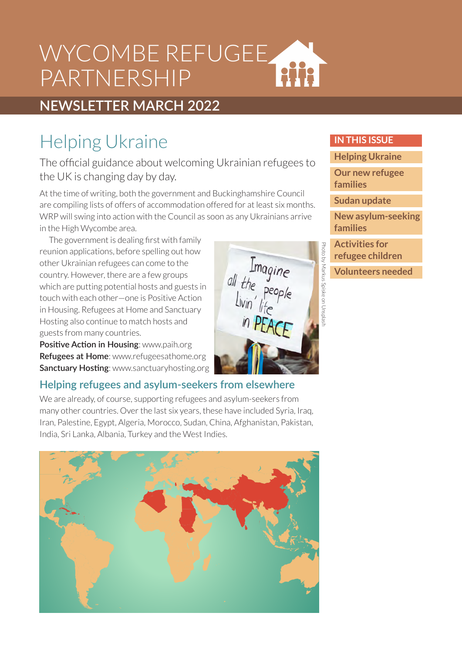## WYCOMBE REFUGEE aiia PARTNERSHIP

## **NEWSLETTER MARCH 2022**

## Helping Ukraine

The official guidance about welcoming Ukrainian refugees to the UK is changing day by day.

At the time of writing, both the government and Buckinghamshire Council are compiling lists of offers of accommodation offered for at least six months. WRP will swing into action with the Council as soon as any Ukrainians arrive in the High Wycombe area.

The government is dealing first with family reunion applications, before spelling out how other Ukrainian refugees can come to the country. However, there are a few groups which are putting potential hosts and guests in touch with each other—one is Positive Action in Housing. Refugees at Home and Sanctuary Hosting also continue to match hosts and guests from many countries.

**Positive Action in Housing**: www.paih.org **Refugees at Home**: www.refugeesathome.org **Sanctuary Hosting**: www.sanctuaryhosting.org

### **Helping refugees and asylum-seekers from elsewhere**

We are already, of course, supporting refugees and asylum-seekers from many other countries. Over the last six years, these have included Syria, Iraq, Iran, Palestine, Egypt, Algeria, Morocco, Sudan, China, Afghanistan, Pakistan, India, Sri Lanka, Albania, Turkey and the West Indies.



#### **IN THIS ISSUE**

**Helping Ukraine**

**[Our new refugee](#page-1-0)  families**

**[Sudan update](#page-1-0)**

**[New asylum-seeking](#page-2-0)  families**

**Activities for [refugee children](#page-2-0)**

Photo by Markus Spiske on Unsplash

Imagine<br>all the people<br>Livin' life<br>in PEACE

Photo by Markus Spiske on Unspl

**[Volunteers needed](#page-2-0)**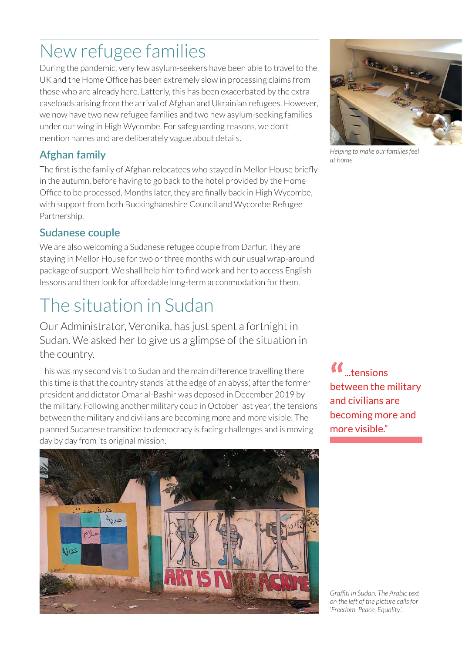# <span id="page-1-0"></span>New refugee families

During the pandemic, very few asylum-seekers have been able to travel to the UK and the Home Office has been extremely slow in processing claims from those who are already here. Latterly, this has been exacerbated by the extra caseloads arising from the arrival of Afghan and Ukrainian refugees. However, we now have two new refugee families and two new asylum-seeking families under our wing in High Wycombe. For safeguarding reasons, we don't mention names and are deliberately vague about details.

### **Afghan family**

The first is the family of Afghan relocatees who stayed in Mellor House briefly in the autumn, before having to go back to the hotel provided by the Home Office to be processed. Months later, they are finally back in High Wycombe, with support from both Buckinghamshire Council and Wycombe Refugee Partnership.

### **Sudanese couple**

We are also welcoming a Sudanese refugee couple from Darfur. They are staying in Mellor House for two or three months with our usual wrap-around package of support. We shall help him to find work and her to access English lessons and then look for affordable long-term accommodation for them.

# The situation in Sudan

Our Administrator, Veronika, has just spent a fortnight in Sudan. We asked her to give us a glimpse of the situation in the country.

This was my second visit to Sudan and the main difference travelling there this time is that the country stands 'at the edge of an abyss', after the former president and dictator Omar al-Bashir was deposed in December 2019 by the military. Following another military coup in October last year, the tensions between the military and civilians are becoming more and more visible. The planned Sudanese transition to democracy is facing challenges and is moving day by day from its original mission.







*Helping to make our families feel at home*

*Graffiti in Sudan. The Arabic text on the left of the picture calls for 'Freedom, Peace, Equality'.*